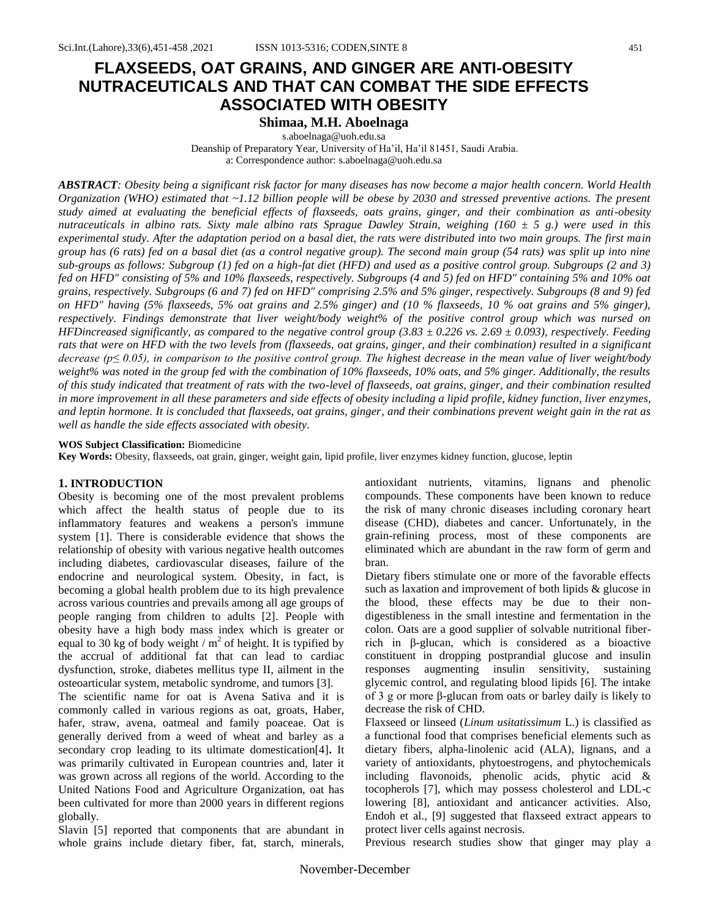# **FLAXSEEDS, OAT GRAINS, AND GINGER ARE ANTI-OBESITY NUTRACEUTICALS AND THAT CAN COMBAT THE SIDE EFFECTS ASSOCIATED WITH OBESITY**

# **Shimaa, M.H. Aboelnaga**

[s.aboelnaga@uoh.edu.sa](mailto:s.aboelnaga@uoh.edu.sa) Deanship of Preparatory Year, University of Ha'il, Ha'il 81451, Saudi Arabia. a: Correspondence author: [s.aboelnaga@uoh.edu.sa](mailto:s.aboelnaga@uoh.edu.sa)

*ABSTRACT: Obesity being a significant risk factor for many diseases has now become a major health concern. World Health Organization (WHO) estimated that ~1.12 billion people will be obese by 2030 and stressed preventive actions. The present study aimed at evaluating the beneficial effects of flaxseeds, oats grains, ginger, and their combination as anti-obesity nutraceuticals in albino rats. Sixty male albino rats Sprague Dawley Strain, weighing (160 ± 5 g.) were used in this experimental study. After the adaptation period on a basal diet, the rats were distributed into two main groups. The first main group has (6 rats) fed on a basal diet (as a control negative group). The second main group (54 rats) was split up into nine sub-groups as follows: Subgroup (1) fed on a high-fat diet (HFD) and used as a positive control group. Subgroups (2 and 3) fed on HFD" consisting of 5% and 10% flaxseeds, respectively. Subgroups (4 and 5) fed on HFD" containing 5% and 10% oat grains, respectively. Subgroups (6 and 7) fed on HFD" comprising 2.5% and 5% ginger, respectively. Subgroups (8 and 9) fed on HFD" having (5% flaxseeds, 5% oat grains and 2.5% ginger) and (10 % flaxseeds, 10 % oat grains and 5% ginger), respectively. Findings demonstrate that liver weight/body weight% of the positive control group which was nursed on HFDincreased significantly, as compared to the negative control group (3.83 ± 0.226 vs. 2.69 ± 0.093), respectively. Feeding rats that were on HFD with the two levels from (flaxseeds, oat grains, ginger, and their combination) resulted in a significant decrease (p≤ 0.05), in comparison to the positive control group. The highest decrease in the mean value of liver weight/body weight% was noted in the group fed with the combination of 10% flaxseeds, 10% oats, and 5% ginger. Additionally, the results of this study indicated that treatment of rats with the two-level of flaxseeds, oat grains, ginger, and their combination resulted in more improvement in all these parameters and side effects of obesity including a lipid profile, kidney function, liver enzymes, and leptin hormone. It is concluded that flaxseeds, oat grains, ginger, and their combinations prevent weight gain in the rat as well as handle the side effects associated with obesity.*

#### **WOS Subject Classification:** Biomedicine

**Key Words:** Obesity, flaxseeds, oat grain, ginger, weight gain, lipid profile, liver enzymes kidney function, glucose, leptin

#### **1. INTRODUCTION**

Obesity is becoming one of the most prevalent problems which affect the health status of people due to its inflammatory features and weakens a person's immune system [1]. There is considerable evidence that shows the relationship of obesity with various negative health outcomes including diabetes, cardiovascular diseases, failure of the endocrine and neurological system. Obesity, in fact, is becoming a global health problem due to its high prevalence across various countries and prevails among all age groups of people ranging from children to adults [2]. People with obesity have a high body mass index which is greater or equal to 30 kg of body weight /  $m^2$  of height. It is typified by the accrual of additional fat that can lead to cardiac dysfunction, stroke, diabetes mellitus type II, ailment in the osteoarticular system, metabolic syndrome, and tumors [3].

The scientific name for oat is Avena Sativa and it is commonly called in various regions as oat, groats, Haber, hafer, straw, avena, oatmeal and family poaceae. Oat is generally derived from a weed of wheat and barley as a secondary crop leading to its ultimate domestication[4]**.** It was primarily cultivated in European countries and, later it was grown across all regions of the world. According to the United Nations Food and Agriculture Organization, oat has been cultivated for more than 2000 years in different regions globally.

Slavin [5] reported that components that are abundant in whole grains include dietary fiber, fat, starch, minerals,

antioxidant nutrients, vitamins, lignans and phenolic compounds. These components have been known to reduce the risk of many chronic diseases including coronary heart disease (CHD), diabetes and cancer. Unfortunately, in the grain-refining process, most of these components are eliminated which are abundant in the raw form of germ and bran.

Dietary fibers stimulate one or more of the favorable effects such as laxation and improvement of both lipids & glucose in the blood, these effects may be due to their nondigestibleness in the small intestine and fermentation in the colon. Oats are a good supplier of solvable nutritional fiberrich in β-glucan, which is considered as a bioactive constituent in dropping postprandial glucose and insulin responses augmenting insulin sensitivity, sustaining glycemic control, and regulating blood lipids [6]. The intake of 3 g or more β-glucan from oats or barley daily is likely to decrease the risk of CHD.

Flaxseed or linseed (*Linum usitatissimum* L.) is classified as a functional food that comprises beneficial elements such as dietary fibers, alpha-linolenic acid (ALA), lignans, and a variety of antioxidants, phytoestrogens, and phytochemicals including flavonoids, phenolic acids, phytic acid & tocopherols [7], which may possess cholesterol and LDL-c lowering [8], antioxidant and anticancer activities. Also, Endoh et al., [9] suggested that flaxseed extract appears to protect liver cells against necrosis.

Previous research studies show that ginger may play a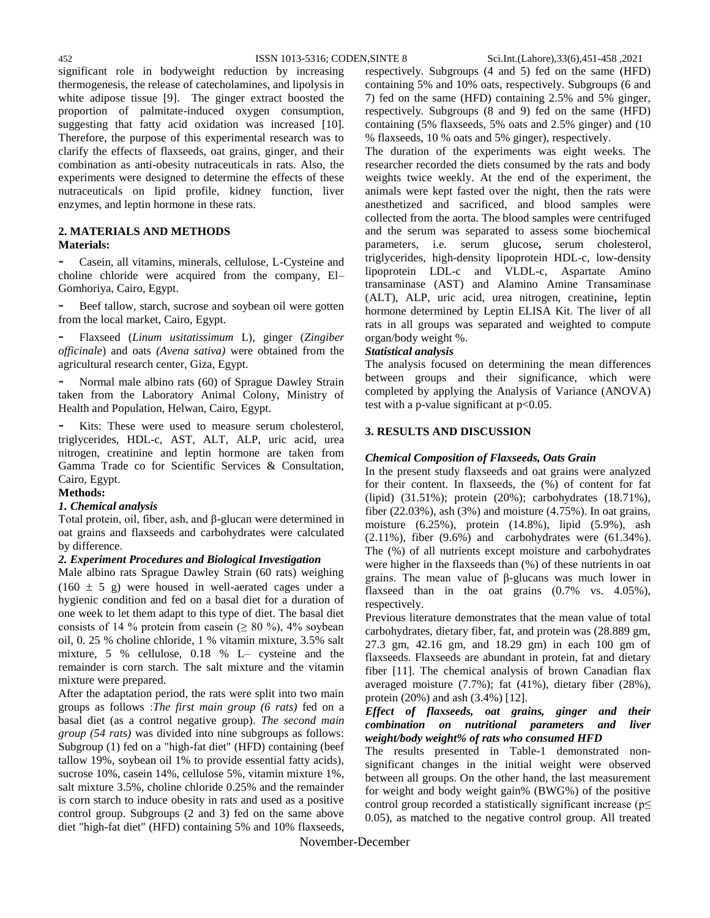significant role in bodyweight reduction by increasing thermogenesis, the release of catecholamines, and lipolysis in white adipose tissue [9]. The ginger extract boosted the proportion of palmitate-induced oxygen consumption, suggesting that fatty acid oxidation was increased [10]. Therefore, the purpose of this experimental research was to clarify the effects of flaxseeds, oat grains, ginger, and their combination as anti-obesity nutraceuticals in rats. Also, the experiments were designed to determine the effects of these nutraceuticals on lipid profile, kidney function, liver enzymes, and leptin hormone in these rats.

# **2. MATERIALS AND METHODS**

### **Materials:**

Casein, all vitamins, minerals, cellulose, L-Cysteine and choline chloride were acquired from the company, El– Gomhoriya, Cairo, Egypt.

Beef tallow, starch, sucrose and soybean oil were gotten from the local market, Cairo, Egypt.

- Flaxseed (*Linum usitatissimum* L), ginger (*Zingiber officinale*) and oats *(Avena sativa)* were obtained from the agricultural research center, Giza, Egypt.

Normal male albino rats (60) of Sprague Dawley Strain taken from the Laboratory Animal Colony, Ministry of Health and Population, Helwan, Cairo, Egypt.

- Kits: These were used to measure serum cholesterol, triglycerides, HDL-c, AST, ALT, ALP, uric acid, urea nitrogen, creatinine and leptin hormone are taken from Gamma Trade co for Scientific Services & Consultation, Cairo, Egypt.

### **Methods:**

#### *1. Chemical analysis*

Total protein, oil, fiber, ash, and β-glucan were determined in oat grains and flaxseeds and carbohydrates were calculated by difference.

#### *2. Experiment Procedures and Biological Investigation*

Male albino rats Sprague Dawley Strain (60 rats) weighing  $(160 \pm 5)$  g) were housed in well-aerated cages under a hygienic condition and fed on a basal diet for a duration of one week to let them adapt to this type of diet. The basal diet consists of 14 % protein from casein ( $\geq 80$  %), 4% soybean oil, 0. 25 % choline chloride, 1 % vitamin mixture, 3.5% salt mixture, 5 % cellulose, 0.18 % L– cysteine and the remainder is corn starch. The salt mixture and the vitamin mixture were prepared.

After the adaptation period, the rats were split into two main groups as follows :*The first main group (6 rats)* fed on a basal diet (as a control negative group). *The second main group (54 rats)* was divided into nine subgroups as follows: Subgroup (1) fed on a "high-fat diet" (HFD) containing (beef tallow 19%, soybean oil 1% to provide essential fatty acids), sucrose 10%, casein 14%, cellulose 5%, vitamin mixture 1%, salt mixture 3.5%, choline chloride 0.25% and the remainder is corn starch to induce obesity in rats and used as a positive control group. Subgroups (2 and 3) fed on the same above diet "high-fat diet" (HFD) containing 5% and 10% flaxseeds,

respectively. Subgroups (4 and 5) fed on the same (HFD) containing 5% and 10% oats, respectively. Subgroups (6 and 7) fed on the same (HFD) containing 2.5% and 5% ginger, respectively. Subgroups (8 and 9) fed on the same (HFD) containing (5% flaxseeds, 5% oats and 2.5% ginger) and (10 % flaxseeds, 10 % oats and 5% ginger), respectively.

The duration of the experiments was eight weeks. The researcher recorded the diets consumed by the rats and body weights twice weekly. At the end of the experiment, the animals were kept fasted over the night, then the rats were anesthetized and sacrificed, and blood samples were collected from the aorta. The blood samples were centrifuged and the serum was separated to assess some biochemical parameters, i.e. serum glucose**,** serum cholesterol*,* triglycerides*,* high-density lipoprotein HDL-c, low-density lipoprotein LDL-c and VLDL-c, Aspartate Amino transaminase (AST) and Alamino Amine Transaminase (ALT), ALP, uric acid, urea nitrogen, creatinine**,** leptin hormone determined by Leptin ELISA Kit. The liver of all rats in all groups was separated and weighted to compute organ/body weight %.

### *Statistical analysis*

The analysis focused on determining the mean differences between groups and their significance, which were completed by applying the Analysis of Variance (ANOVA) test with a p-value significant at  $p<0.05$ .

### **3. RESULTS AND DISCUSSION**

#### *Chemical Composition of Flaxseeds, Oats Grain*

In the present study flaxseeds and oat grains were analyzed for their content. In flaxseeds, the (%) of content for fat (lipid) (31.51%); protein (20%); carbohydrates (18.71%), fiber (22.03%), ash (3%) and moisture (4.75%). In oat grains, moisture (6.25%), protein (14.8%), lipid (5.9%), ash (2.11%), fiber (9.6%) and carbohydrates were (61.34%). The (%) of all nutrients except moisture and carbohydrates were higher in the flaxseeds than (%) of these nutrients in oat grains. The mean value of β-glucans was much lower in flaxseed than in the oat grains (0.7% vs. 4.05%), respectively.

Previous literature demonstrates that the mean value of total carbohydrates, dietary fiber, fat, and protein was (28.889 gm, 27.3 gm, 42.16 gm, and 18.29 gm) in each 100 gm of flaxseeds. Flaxseeds are abundant in protein, fat and dietary fiber [11]. The chemical analysis of brown Canadian flax averaged moisture (7.7%); fat (41%), dietary fiber (28%), protein (20%) and ash (3.4%) [12].

#### *Effect of flaxseeds, oat grains, ginger and their combination on nutritional parameters and liver weight/body weight% of rats who consumed HFD*

The results presented in Table-1 demonstrated nonsignificant changes in the initial weight were observed between all groups. On the other hand, the last measurement for weight and body weight gain% (BWG%) of the positive control group recorded a statistically significant increase ( $p \leq$ 0.05), as matched to the negative control group. All treated

November-December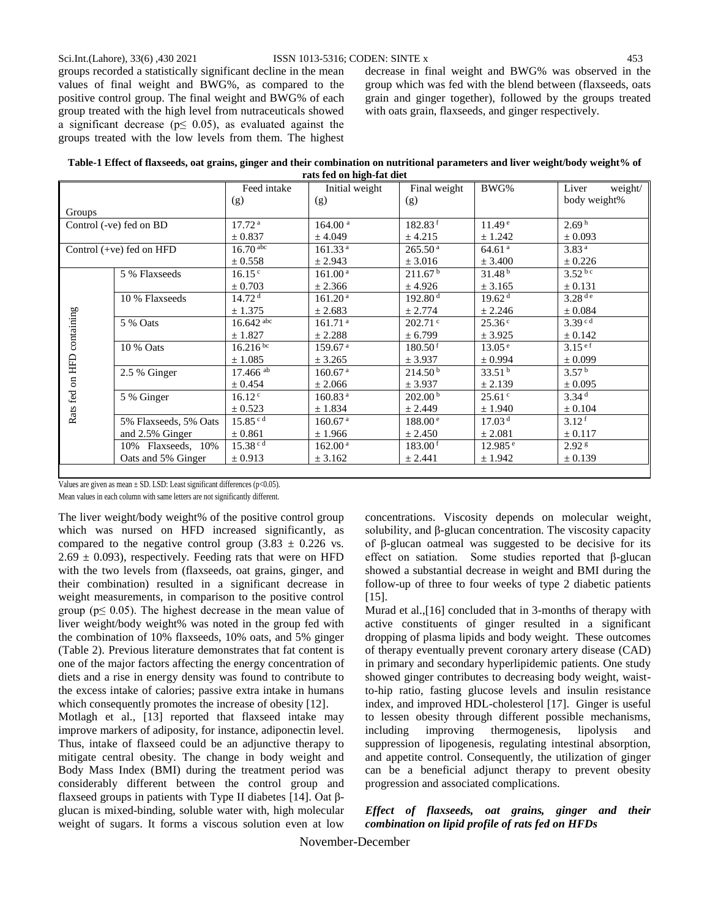groups recorded a statistically significant decline in the mean values of final weight and BWG%, as compared to the positive control group. The final weight and BWG% of each group treated with the high level from nutraceuticals showed a significant decrease ( $p \leq 0.05$ ), as evaluated against the groups treated with the low levels from them. The highest decrease in final weight and BWG% was observed in the group which was fed with the blend between (flaxseeds, oats grain and ginger together), followed by the groups treated with oats grain, flaxseeds, and ginger respectively.

| Table-1 Effect of flaxseeds, oat grains, ginger and their combination on nutritional parameters and liver weight/body weight% of |                           |  |
|----------------------------------------------------------------------------------------------------------------------------------|---------------------------|--|
|                                                                                                                                  | rats fed on high-fat diet |  |

|                 |                            | Feed intake            | Initial weight      | Final weight        | BWG%                  | Liver<br>weight/     |
|-----------------|----------------------------|------------------------|---------------------|---------------------|-----------------------|----------------------|
|                 |                            | (g)                    | (g)                 | (g)                 |                       | body weight%         |
| Groups          |                            |                        |                     |                     |                       |                      |
|                 | Control (-ve) fed on BD    | 17.72 <sup>a</sup>     | 164.00 <sup>a</sup> | 182.83 <sup>f</sup> | 11.49 <sup>e</sup>    | 2.69 <sup>h</sup>    |
|                 |                            | $\pm$ 0.837            | ± 4.049             | ± 4.215             | ± 1.242               | $\pm 0.093$          |
|                 | Control $(+ve)$ fed on HFD | $16.70$ abc            | 161.33 <sup>a</sup> | 265.50 <sup>a</sup> | 64.61 <sup>a</sup>    | 3.83 <sup>a</sup>    |
|                 |                            | $\pm$ 0.558            | ± 2.943             | ± 3.016             | ± 3.400               | ± 0.226              |
|                 | 5 % Flaxseeds              | 16.15 <sup>c</sup>     | 161.00 <sup>a</sup> | 211.67 <sup>b</sup> | 31.48 <sup>b</sup>    | $3.52^{b c}$         |
|                 |                            | ± 0.703                | ± 2.366             | ± 4.926             | ± 3.165               | ± 0.131              |
|                 | 10 % Flaxseeds             | 14.72 <sup>d</sup>     | 161.20 <sup>a</sup> | 192.80 <sup>d</sup> | 19.62 <sup>d</sup>    | $3.28$ <sup>de</sup> |
|                 |                            | ± 1.375                | ± 2.683             | ± 2.774             | ± 2.246               | $\pm 0.084$          |
| containing      | 5 % Oats                   | $16.642$ abc           | 161.71 <sup>a</sup> | $202.71$ °          | 25.36 <sup>c</sup>    | 3.39 <sup>cd</sup>   |
|                 |                            | ± 1.827                | ± 2.288             | ± 6.799             | ± 3.925               | $\pm$ 0.142          |
|                 | 10 % Oats                  | $16.216^{bc}$          | 159.67 <sup>a</sup> | 180.50 <sup>f</sup> | 13.05 <sup>e</sup>    | 3.15 <sup>ef</sup>   |
|                 |                            | $\pm 1.085$            | ± 3.265             | ± 3.937             | ± 0.994               | $\pm 0.099$          |
|                 | 2.5 % Ginger               | $17.466$ <sup>ab</sup> | 160.67 <sup>a</sup> | 214.50 <sup>b</sup> | 33.51 <sup>b</sup>    | 3.57 <sup>b</sup>    |
|                 |                            | ± 0.454                | ± 2.066             | ± 3.937             | ± 2.139               | $\pm 0.095$          |
|                 | 5 % Ginger                 | 16.12 <sup>c</sup>     | 160.83 <sup>a</sup> | 202.00 <sup>b</sup> | 25.61 <sup>c</sup>    | 3.34 <sup>d</sup>    |
| Rats fed on HFD |                            | $\pm$ 0.523            | ± 1.834             | ± 2.449             | ± 1.940               | $\pm 0.104$          |
|                 | 5% Flaxseeds, 5% Oats      | $15.85^{c d}$          | 160.67 <sup>a</sup> | 188.00 <sup>e</sup> | 17.03 <sup>d</sup>    | 3.12 <sup>f</sup>    |
|                 | and 2.5% Ginger            | $\pm$ 0.861            | ± 1.966             | ± 2.450             | ± 2.081               | $\pm$ 0.117          |
|                 | 10% Flaxseeds, 10%         | $15.38^{c d}$          | 162.00 <sup>a</sup> | 183.00 <sup>f</sup> | $12.985$ <sup>e</sup> | 2.92 <sup>g</sup>    |
|                 | Oats and 5% Ginger         | $\pm$ 0.913            | ± 3.162             | ± 2.441             | ± 1.942               | ± 0.139              |
|                 |                            |                        |                     |                     |                       |                      |

Values are given as mean  $\pm$  SD. LSD: Least significant differences (p<0.05).

Mean values in each column with same letters are not significantly different.

The liver weight/body weight% of the positive control group which was nursed on HFD increased significantly, as compared to the negative control group  $(3.83 \pm 0.226 \text{ vs.})$  $2.69 \pm 0.093$ ), respectively. Feeding rats that were on HFD with the two levels from (flaxseeds, oat grains, ginger, and their combination) resulted in a significant decrease in weight measurements, in comparison to the positive control group ( $p \leq 0.05$ ). The highest decrease in the mean value of liver weight/body weight% was noted in the group fed with the combination of 10% flaxseeds, 10% oats, and 5% ginger (Table 2). Previous literature demonstrates that fat content is one of the major factors affecting the energy concentration of diets and a rise in energy density was found to contribute to the excess intake of calories; passive extra intake in humans which consequently promotes the increase of obesity [12].

Motlagh et al., [13] reported that flaxseed intake may improve markers of adiposity, for instance, adiponectin level. Thus, intake of flaxseed could be an adjunctive therapy to mitigate central obesity. The change in body weight and Body Mass Index (BMI) during the treatment period was considerably different between the control group and flaxseed groups in patients with Type II diabetes [14]. Oat βglucan is mixed-binding, soluble water with, high molecular weight of sugars. It forms a viscous solution even at low

concentrations. Viscosity depends on molecular weight, solubility, and β-glucan concentration. The viscosity capacity of β-glucan oatmeal was suggested to be decisive for its effect on satiation. Some studies reported that β-glucan showed a substantial decrease in weight and BMI during the follow-up of three to four weeks of type 2 diabetic patients [15].

Murad et al.,[16] concluded that in 3-months of therapy with active constituents of ginger resulted in a significant dropping of plasma lipids and body weight. These outcomes of therapy eventually prevent coronary artery disease (CAD) in primary and secondary hyperlipidemic patients. One study showed ginger contributes to decreasing body weight, waistto-hip ratio, fasting glucose levels and insulin resistance index, and improved HDL-cholesterol [17]. Ginger is useful to lessen obesity through different possible mechanisms, including improving thermogenesis, lipolysis and suppression of lipogenesis, regulating intestinal absorption, and appetite control. Consequently, the utilization of ginger can be a beneficial adjunct therapy to prevent obesity progression and associated complications.

## *Effect of flaxseeds, oat grains, ginger and their combination on lipid profile of rats fed on HFDs*

November-December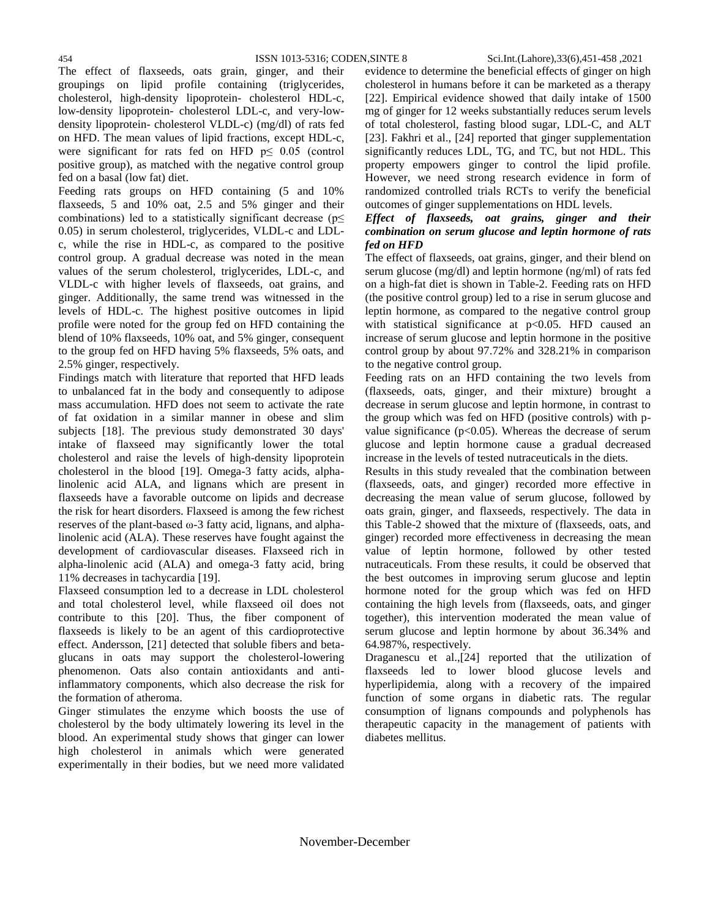The effect of flaxseeds, oats grain, ginger, and their groupings on lipid profile containing (triglycerides, cholesterol, high-density lipoprotein- cholesterol HDL-c, low-density lipoprotein- cholesterol LDL-c, and very-lowdensity lipoprotein- cholesterol VLDL-c) (mg/dl) of rats fed on HFD. The mean values of lipid fractions, except HDL-c, were significant for rats fed on HFD  $p \leq 0.05$  (control positive group), as matched with the negative control group fed on a basal (low fat) diet.

Feeding rats groups on HFD containing (5 and 10% flaxseeds, 5 and 10% oat, 2.5 and 5% ginger and their combinations) led to a statistically significant decrease ( $p \leq$ 0.05) in serum cholesterol, triglycerides, VLDL-c and LDLc, while the rise in HDL-c, as compared to the positive control group. A gradual decrease was noted in the mean values of the serum cholesterol, triglycerides, LDL-c, and VLDL-c with higher levels of flaxseeds, oat grains, and ginger. Additionally, the same trend was witnessed in the levels of HDL-c. The highest positive outcomes in lipid profile were noted for the group fed on HFD containing the blend of 10% flaxseeds, 10% oat, and 5% ginger, consequent to the group fed on HFD having 5% flaxseeds, 5% oats, and 2.5% ginger, respectively.

Findings match with literature that reported that HFD leads to unbalanced fat in the body and consequently to adipose mass accumulation. HFD does not seem to activate the rate of fat oxidation in a similar manner in obese and slim subjects [18]. The previous study demonstrated 30 days' intake of flaxseed may significantly lower the total cholesterol and raise the levels of high-density lipoprotein cholesterol in the blood [19]. Omega-3 fatty acids, alphalinolenic acid ALA, and lignans which are present in flaxseeds have a favorable outcome on lipids and decrease the risk for heart disorders. Flaxseed is among the few richest reserves of the plant-based ω-3 fatty acid, lignans, and alphalinolenic acid (ALA). These reserves have fought against the development of cardiovascular diseases. Flaxseed rich in alpha-linolenic acid (ALA) and omega-3 fatty acid, bring 11% decreases in tachycardia [19].

Flaxseed consumption led to a decrease in LDL cholesterol and total cholesterol level, while flaxseed oil does not contribute to this [20]. Thus, the fiber component of flaxseeds is likely to be an agent of this cardioprotective effect. Andersson, [21] detected that soluble fibers and betaglucans in oats may support the cholesterol-lowering phenomenon. Oats also contain antioxidants and antiinflammatory components, which also decrease the risk for the formation of atheroma.

Ginger stimulates the enzyme which boosts the use of cholesterol by the body ultimately lowering its level in the blood. An experimental study shows that ginger can lower high cholesterol in animals which were generated experimentally in their bodies, but we need more validated evidence to determine the beneficial effects of ginger on high cholesterol in humans before it can be marketed as a therapy [22]. Empirical evidence showed that daily intake of 1500 mg of ginger for 12 weeks substantially reduces serum levels of total cholesterol, fasting blood sugar, LDL-C, and ALT [23]. Fakhri et al., [24] reported that ginger supplementation significantly reduces LDL, TG, and TC, but not HDL. This property empowers ginger to control the lipid profile. However, we need strong research evidence in form of randomized controlled trials RCTs to verify the beneficial outcomes of ginger supplementations on HDL levels.

### *Effect of flaxseeds, oat grains, ginger and their combination on serum glucose and leptin hormone of rats fed on HFD*

The effect of flaxseeds, oat grains, ginger, and their blend on serum glucose (mg/dl) and leptin hormone (ng/ml) of rats fed on a high-fat diet is shown in Table-2. Feeding rats on HFD (the positive control group) led to a rise in serum glucose and leptin hormone, as compared to the negative control group with statistical significance at p<0.05. HFD caused an increase of serum glucose and leptin hormone in the positive control group by about 97.72% and 328.21% in comparison to the negative control group.

Feeding rats on an HFD containing the two levels from (flaxseeds, oats, ginger, and their mixture) brought a decrease in serum glucose and leptin hormone, in contrast to the group which was fed on HFD (positive controls) with pvalue significance ( $p<0.05$ ). Whereas the decrease of serum glucose and leptin hormone cause a gradual decreased increase in the levels of tested nutraceuticals in the diets.

Results in this study revealed that the combination between (flaxseeds, oats, and ginger) recorded more effective in decreasing the mean value of serum glucose, followed by oats grain, ginger, and flaxseeds, respectively. The data in this Table-2 showed that the mixture of (flaxseeds, oats, and ginger) recorded more effectiveness in decreasing the mean value of leptin hormone, followed by other tested nutraceuticals. From these results, it could be observed that the best outcomes in improving serum glucose and leptin hormone noted for the group which was fed on HFD containing the high levels from (flaxseeds, oats, and ginger together), this intervention moderated the mean value of serum glucose and leptin hormone by about 36.34% and 64.987%, respectively.

Draganescu et al.,[24] reported that the utilization of flaxseeds led to lower blood glucose levels and hyperlipidemia, along with a recovery of the impaired function of some organs in diabetic rats. The regular consumption of lignans compounds and polyphenols has therapeutic capacity in the management of patients with diabetes mellitus.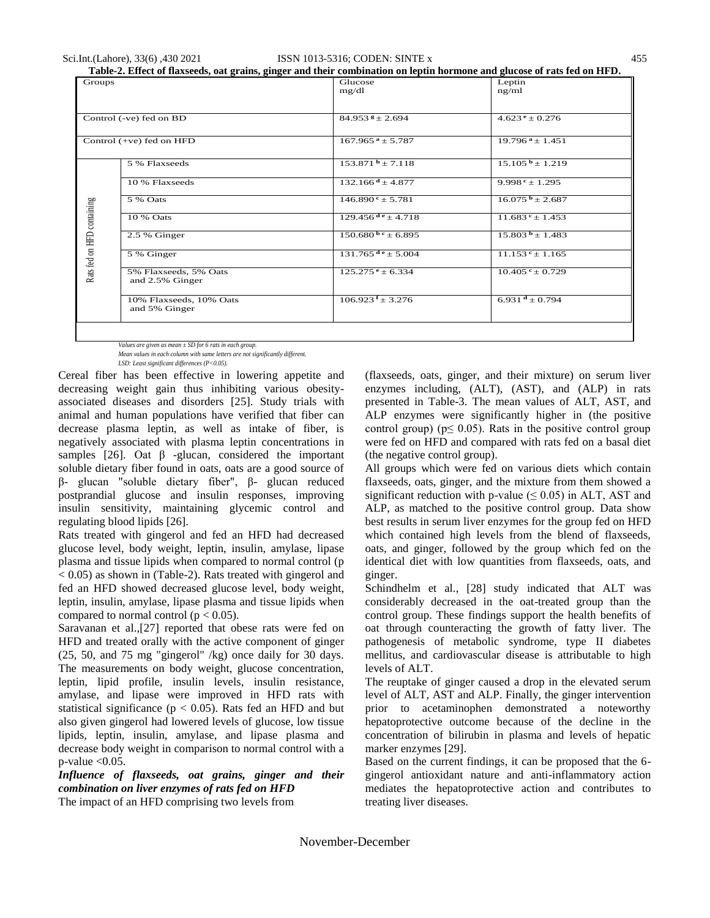| Table-2. Effect of flaxseeds, oat grains, ginger and their combination on leptin hormone and glucose of rats fed on HFD. |  |
|--------------------------------------------------------------------------------------------------------------------------|--|
|                                                                                                                          |  |

| Groups                     |                                          | Glucose<br>mg/dl                | Leptin<br>ng/ml                 |
|----------------------------|------------------------------------------|---------------------------------|---------------------------------|
|                            |                                          |                                 |                                 |
| Control (-ve) fed on BD    |                                          | $84.953$ $8 \pm 2.694$          | $4.623$ <sup>e</sup> ± 0.276    |
| Control (+ve) fed on HFD   |                                          | $167.965$ <sup>a</sup> ± 5.787  | $19.796^{\text{ a}} \pm 1.451$  |
|                            | 5 % Flaxseeds                            | $153.871b \pm 7.118$            | $15.105^{\mathrm{b}} \pm 1.219$ |
|                            | 10 % Flaxseeds                           | $132.166$ <sup>d</sup> ± 4.877  | $9.998e + 1.295$                |
|                            | 5 % Oats                                 | $146.890^{\circ} \pm 5.781$     | $16.075^{\mathrm{b}} \pm 2.687$ |
|                            | 10 % Oats                                | $129.456^{de} \pm 4.718$        | $11.683$ <sup>e</sup> ± 1.453   |
|                            | 2.5 % Ginger                             | $150.680^{b}$ e $\pm$ 6.895     | $15.803^{b} \pm 1.483$          |
| Rats fed on HFD containing | 5 % Ginger                               | $131.765$ <sup>de</sup> ± 5.004 | $11.153$ <sup>e</sup> ± 1.165   |
|                            | 5% Flaxseeds, 5% Oats<br>and 2.5% Ginger | $125.275$ <sup>e</sup> ± 6.334  | $10.405$ <sup>c</sup> ± 0.729   |
|                            | 10% Flaxseeds, 10% Oats<br>and 5% Ginger | $106.923$ f $\pm$ 3.276         | 6.931 $^d$ ± 0.794              |
|                            |                                          |                                 |                                 |

*Values are given as mean ± SD for 6 rats in each group. Mean values in each column with same letters are not significantly different.* 

*LSD: Least significant differences (P<0.05).*

Cereal fiber has been effective in lowering appetite and decreasing weight gain thus inhibiting various obesityassociated diseases and disorders [25]. Study trials with animal and human populations have verified that fiber can decrease plasma leptin, as well as intake of fiber, is negatively associated with plasma leptin concentrations in samples [26]. Oat  $\beta$  -glucan, considered the important soluble dietary fiber found in oats, oats are a good source of β- glucan "soluble dietary fiber", β- glucan reduced postprandial glucose and insulin responses, improving insulin sensitivity, maintaining glycemic control and regulating blood lipids [26].

Rats treated with gingerol and fed an HFD had decreased glucose level, body weight, leptin, insulin, amylase, lipase plasma and tissue lipids when compared to normal control (p  $< 0.05$ ) as shown in (Table-2). Rats treated with gingerol and fed an HFD showed decreased glucose level, body weight, leptin, insulin, amylase, lipase plasma and tissue lipids when compared to normal control ( $p < 0.05$ ).

Saravanan et al.,[27] reported that obese rats were fed on HFD and treated orally with the active component of ginger (25, 50, and 75 mg "gingerol" /kg) once daily for 30 days. The measurements on body weight, glucose concentration, leptin, lipid profile, insulin levels, insulin resistance, amylase, and lipase were improved in HFD rats with statistical significance ( $p < 0.05$ ). Rats fed an HFD and but also given gingerol had lowered levels of glucose, low tissue lipids, leptin, insulin, amylase, and lipase plasma and decrease body weight in comparison to normal control with a  $p$ -value  $< 0.05$ .

*Influence of flaxseeds, oat grains, ginger and their combination on liver enzymes of rats fed on HFD* The impact of an HFD comprising two levels from

(flaxseeds, oats, ginger, and their mixture) on serum liver enzymes including, (ALT), (AST), and (ALP) in rats presented in Table-3. The mean values of ALT, AST, and ALP enzymes were significantly higher in (the positive control group) ( $p \leq 0.05$ ). Rats in the positive control group were fed on HFD and compared with rats fed on a basal diet (the negative control group).

All groups which were fed on various diets which contain flaxseeds, oats, ginger, and the mixture from them showed a significant reduction with p-value  $(\leq 0.05)$  in ALT, AST and ALP, as matched to the positive control group. Data show best results in serum liver enzymes for the group fed on HFD which contained high levels from the blend of flaxseeds, oats, and ginger, followed by the group which fed on the identical diet with low quantities from flaxseeds, oats, and ginger.

Schindhelm et al., [28] study indicated that ALT was considerably decreased in the oat-treated group than the control group. These findings support the health benefits of oat through counteracting the growth of fatty liver. The pathogenesis of metabolic syndrome, type II diabetes mellitus, and cardiovascular disease is attributable to high levels of ALT.

The reuptake of ginger caused a drop in the elevated serum level of ALT, AST and ALP. Finally, the ginger intervention prior to acetaminophen demonstrated a noteworthy hepatoprotective outcome because of the decline in the concentration of bilirubin in plasma and levels of hepatic marker enzymes [29].

Based on the current findings, it can be proposed that the 6 gingerol antioxidant nature and anti-inflammatory action mediates the hepatoprotective action and contributes to treating liver diseases.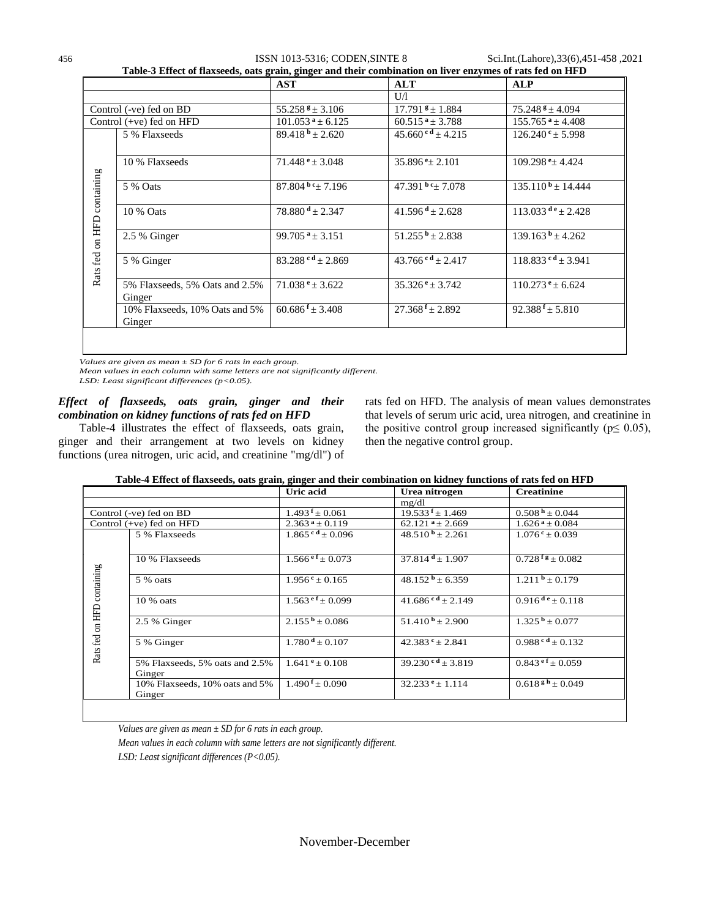456 ISSN 1013-5316; CODEN,SINTE 8 Sci.Int.(Lahore),33(6),451-458 ,2021

|                                  |                                          | <b>AST</b>                         | <b>ALT</b>                    | <b>ALP</b>                       |
|----------------------------------|------------------------------------------|------------------------------------|-------------------------------|----------------------------------|
|                                  |                                          |                                    | U/I                           |                                  |
| Control (-ve) fed on BD          |                                          | $55.258$ <sup>g</sup> ± 3.106      | $17.791$ $\pm$ 1.884          | $75.248$ $\pm 4.094$             |
| Control $(+ve)$ fed on HFD       |                                          | $101.053$ <sup>a</sup> ± 6.125     | $60.515$ <sup>a</sup> ± 3.788 | $155.765^{\text{ a}} \pm 4.408$  |
|                                  | 5 % Flaxseeds                            | $89.418^{b} \pm 2.620$             | $45.660$ cd $\pm$ 4.215       | $126.240$ <sup>c</sup> ± 5.998   |
| containing<br>on HFD<br>Rats fed | 10 % Flaxseeds                           | $71.448$ <sup>e</sup> ± 3.048      | $35.896\text{°$\pm$}2.101$    | $109.298 \pm 4.424$              |
|                                  | 5 % Oats                                 | $87.804b$ c <sup>+</sup> $+ 7.196$ | 47.391 $bc + 7.078$           | $135.110^{b} + 14.444$           |
|                                  | 10 % Oats                                | $78.880$ <sup>d</sup> ± 2.347      | $41.596$ <sup>d</sup> ± 2.628 | $113.033$ d <sup>e</sup> ± 2.428 |
|                                  | 2.5 % Ginger                             | 99.705 $a_{\pm}$ 3.151             | 51.255 $b \pm 2.838$          | $139.163^{b} + 4.262$            |
|                                  | 5 % Ginger                               | $83.288$ cd + 2.869                | $43.766$ cd + 2.417           | $118.833$ c d $\pm 3.941$        |
|                                  | 5% Flaxseeds, 5% Oats and 2.5%<br>Ginger | $71.038$ <sup>e</sup> ± 3.622      | $35.326$ <sup>e</sup> ± 3.742 | $110.273$ <sup>e</sup> ± 6.624   |
|                                  | 10% Flaxseeds, 10% Oats and 5%<br>Ginger | $60.686$ <sup>f</sup> ± 3.408      | $27.368 f \pm 2.892$          | $92.388$ <sup>f</sup> ± 5.810    |

*Values are given as mean ± SD for 6 rats in each group.* 

*Mean values in each column with same letters are not significantly different.* 

*LSD: Least significant differences (p<0.05).*

## *Effect of flaxseeds, oats grain, ginger and their combination on kidney functions of rats fed on HFD*

Table-4 illustrates the effect of flaxseeds, oats grain, ginger and their arrangement at two levels on kidney functions (urea nitrogen, uric acid, and creatinine "mg/dl") of rats fed on HFD. The analysis of mean values demonstrates that levels of serum uric acid, urea nitrogen, and creatinine in the positive control group increased significantly ( $p \leq 0.05$ ), then the negative control group.

### **Table-4 Effect of flaxseeds, oats grain, ginger and their combination on kidney functions of rats fed on HFD**

|                                  |                                          | Uric acid                      | Urea nitrogen                 | <b>Creatinine</b>              |
|----------------------------------|------------------------------------------|--------------------------------|-------------------------------|--------------------------------|
|                                  |                                          |                                | mg/dl                         |                                |
| Control (-ve) fed on BD          |                                          | $1.493$ f $\pm 0.061$          | $19.533$ f $\pm$ 1.469        | $0.508 h + 0.044$              |
| Control (+ve) fed on HFD         |                                          | $2.363^{\text{a}} \pm 0.119$   | $62.121$ <sup>a</sup> ± 2.669 | $1.626^{\text{ a}} \pm 0.084$  |
|                                  | 5 % Flaxseeds                            | $1.865$ <sup>cd</sup> ± 0.096  | $48.510^{b} \pm 2.261$        | $1.076$ <sup>c</sup> ± 0.039   |
|                                  | 10 % Flaxseeds                           | $1.566$ <sup>ef</sup> ± 0.073  | $37.814$ <sup>d</sup> ± 1.907 | $0.728$ f s + 0.082            |
| containing<br>on HFD<br>Rats fed | 5 % oats                                 | $1.956$ <sup>c</sup> ± 0.165   | $48.152b \pm 6.359$           | $1.211b \pm 0.179$             |
|                                  | $10\%$ oats                              | $1.563$ ef + 0.099             | $41.686$ cd + 2.149           | $0.916^{de} + 0.118$           |
|                                  | 2.5 % Ginger                             | $2.155^{\mathrm{b}} \pm 0.086$ | $51.410^{b} \pm 2.900$        | $1.325^{\mathrm{b}} \pm 0.077$ |
|                                  | 5 % Ginger                               | $1.780^{\text{ d}} + 0.107$    | $42.383^{\text{c}} + 2.841$   | $0.988$ cd + 0.132             |
|                                  | 5% Flaxseeds, 5% oats and 2.5%<br>Ginger | $1.641^e \pm 0.108$            | $39.230$ cd + 3.819           | $0.843$ ef $\pm 0.059$         |
|                                  | 10% Flaxseeds, 10% oats and 5%<br>Ginger | $1.490 \pm 0.090$              | $32.233e+1.114$               | $0.618^{g h} \pm 0.049$        |
|                                  |                                          |                                |                               |                                |

*Values are given as mean ± SD for 6 rats in each group.* 

*Mean values in each column with same letters are not significantly different. LSD: Least significant differences (P<0.05).*

November-December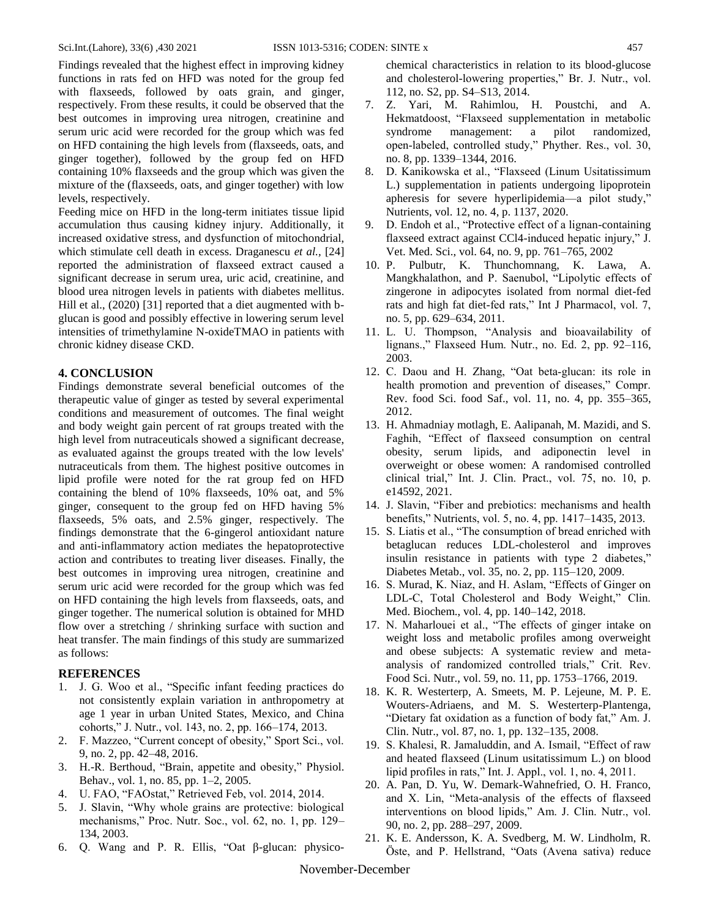Findings revealed that the highest effect in improving kidney functions in rats fed on HFD was noted for the group fed with flaxseeds, followed by oats grain, and ginger, respectively. From these results, it could be observed that the best outcomes in improving urea nitrogen, creatinine and serum uric acid were recorded for the group which was fed on HFD containing the high levels from (flaxseeds, oats, and ginger together), followed by the group fed on HFD containing 10% flaxseeds and the group which was given the mixture of the (flaxseeds, oats, and ginger together) with low levels, respectively.

Feeding mice on HFD in the long-term initiates tissue lipid accumulation thus causing kidney injury. Additionally, it increased oxidative stress, and dysfunction of mitochondrial, which stimulate cell death in excess. Draganescu *et al.,* [24] reported the administration of flaxseed extract caused a significant decrease in serum urea, uric acid, creatinine, and blood urea nitrogen levels in patients with diabetes mellitus. Hill et al., (2020) [31] reported that a diet augmented with bglucan is good and possibly effective in lowering serum level intensities of trimethylamine N-oxideTMAO in patients with chronic kidney disease CKD.

#### **4. CONCLUSION**

Findings demonstrate several beneficial outcomes of the therapeutic value of ginger as tested by several experimental conditions and measurement of outcomes. The final weight and body weight gain percent of rat groups treated with the high level from nutraceuticals showed a significant decrease, as evaluated against the groups treated with the low levels' nutraceuticals from them. The highest positive outcomes in lipid profile were noted for the rat group fed on HFD containing the blend of 10% flaxseeds, 10% oat, and 5% ginger, consequent to the group fed on HFD having 5% flaxseeds, 5% oats, and 2.5% ginger, respectively. The findings demonstrate that the 6-gingerol antioxidant nature and anti-inflammatory action mediates the hepatoprotective action and contributes to treating liver diseases. Finally, the best outcomes in improving urea nitrogen, creatinine and serum uric acid were recorded for the group which was fed on HFD containing the high levels from flaxseeds, oats, and ginger together. The numerical solution is obtained for MHD flow over a stretching / shrinking surface with suction and heat transfer. The main findings of this study are summarized as follows:

#### **REFERENCES**

- 1. J. G. Woo et al., "Specific infant feeding practices do not consistently explain variation in anthropometry at age 1 year in urban United States, Mexico, and China cohorts,‖ J. Nutr., vol. 143, no. 2, pp. 166–174, 2013.
- 2. F. Mazzeo, "Current concept of obesity," Sport Sci., vol. 9, no. 2, pp. 42–48, 2016.
- 3. H.-R. Berthoud, "Brain, appetite and obesity," Physiol. Behav., vol. 1, no. 85, pp. 1–2, 2005.
- 4. U. FAO, "FAOstat," Retrieved Feb, vol. 2014, 2014.
- 5. J. Slavin, ―Why whole grains are protective: biological mechanisms," Proc. Nutr. Soc., vol. 62, no. 1, pp. 129– 134, 2003.
- 6. Q. Wang and P. R. Ellis, "Oat  $β$ -glucan: physico-

chemical characteristics in relation to its blood-glucose and cholesterol-lowering properties," Br. J. Nutr., vol. 112, no. S2, pp. S4–S13, 2014.

- 7. Z. Yari, M. Rahimlou, H. Poustchi, and A. Hekmatdoost, "Flaxseed supplementation in metabolic syndrome management: a pilot randomized, open-labeled, controlled study," Phyther. Res., vol. 30, no. 8, pp. 1339–1344, 2016.
- 8. D. Kanikowska et al., "Flaxseed (Linum Usitatissimum L.) supplementation in patients undergoing lipoprotein apheresis for severe hyperlipidemia—a pilot study," Nutrients, vol. 12, no. 4, p. 1137, 2020.
- 9. D. Endoh et al., "Protective effect of a lignan-containing flaxseed extract against CCl4-induced hepatic injury," J. Vet. Med. Sci., vol. 64, no. 9, pp. 761–765, 2002
- 10. P. Pulbutr, K. Thunchomnang, K. Lawa, A. Mangkhalathon, and P. Saenubol, "Lipolytic effects of zingerone in adipocytes isolated from normal diet-fed rats and high fat diet-fed rats," Int J Pharmacol, vol. 7, no. 5, pp. 629–634, 2011.
- 11. L. U. Thompson, "Analysis and bioavailability of lignans.," Flaxseed Hum. Nutr., no. Ed. 2, pp. 92-116, 2003.
- 12. C. Daou and H. Zhang, "Oat beta-glucan: its role in health promotion and prevention of diseases," Compr. Rev. food Sci. food Saf., vol. 11, no. 4, pp. 355–365, 2012.
- 13. H. Ahmadniay motlagh, E. Aalipanah, M. Mazidi, and S. Faghih, "Effect of flaxseed consumption on central obesity, serum lipids, and adiponectin level in overweight or obese women: A randomised controlled clinical trial," Int. J. Clin. Pract., vol. 75, no. 10, p. e14592, 2021.
- 14. J. Slavin, "Fiber and prebiotics: mechanisms and health benefits," Nutrients, vol. 5, no. 4, pp. 1417–1435, 2013.
- 15. S. Liatis et al., "The consumption of bread enriched with betaglucan reduces LDL-cholesterol and improves insulin resistance in patients with type 2 diabetes," Diabetes Metab., vol. 35, no. 2, pp. 115–120, 2009.
- 16. S. Murad, K. Niaz, and H. Aslam, "Effects of Ginger on LDL-C, Total Cholesterol and Body Weight," Clin. Med. Biochem., vol. 4, pp. 140–142, 2018.
- 17. N. Maharlouei et al., "The effects of ginger intake on weight loss and metabolic profiles among overweight and obese subjects: A systematic review and metaanalysis of randomized controlled trials," Crit. Rev. Food Sci. Nutr., vol. 59, no. 11, pp. 1753–1766, 2019.
- 18. K. R. Westerterp, A. Smeets, M. P. Lejeune, M. P. E. Wouters-Adriaens, and M. S. Westerterp-Plantenga, "Dietary fat oxidation as a function of body fat," Am. J. Clin. Nutr., vol. 87, no. 1, pp. 132–135, 2008.
- 19. S. Khalesi, R. Jamaluddin, and A. Ismail, "Effect of raw and heated flaxseed (Linum usitatissimum L.) on blood lipid profiles in rats," Int. J. Appl., vol. 1, no. 4, 2011.
- 20. A. Pan, D. Yu, W. Demark-Wahnefried, O. H. Franco, and X. Lin, "Meta-analysis of the effects of flaxseed interventions on blood lipids," Am. J. Clin. Nutr., vol. 90, no. 2, pp. 288–297, 2009.
- 21. K. E. Andersson, K. A. Svedberg, M. W. Lindholm, R. Öste, and P. Hellstrand, "Oats (Avena sativa) reduce